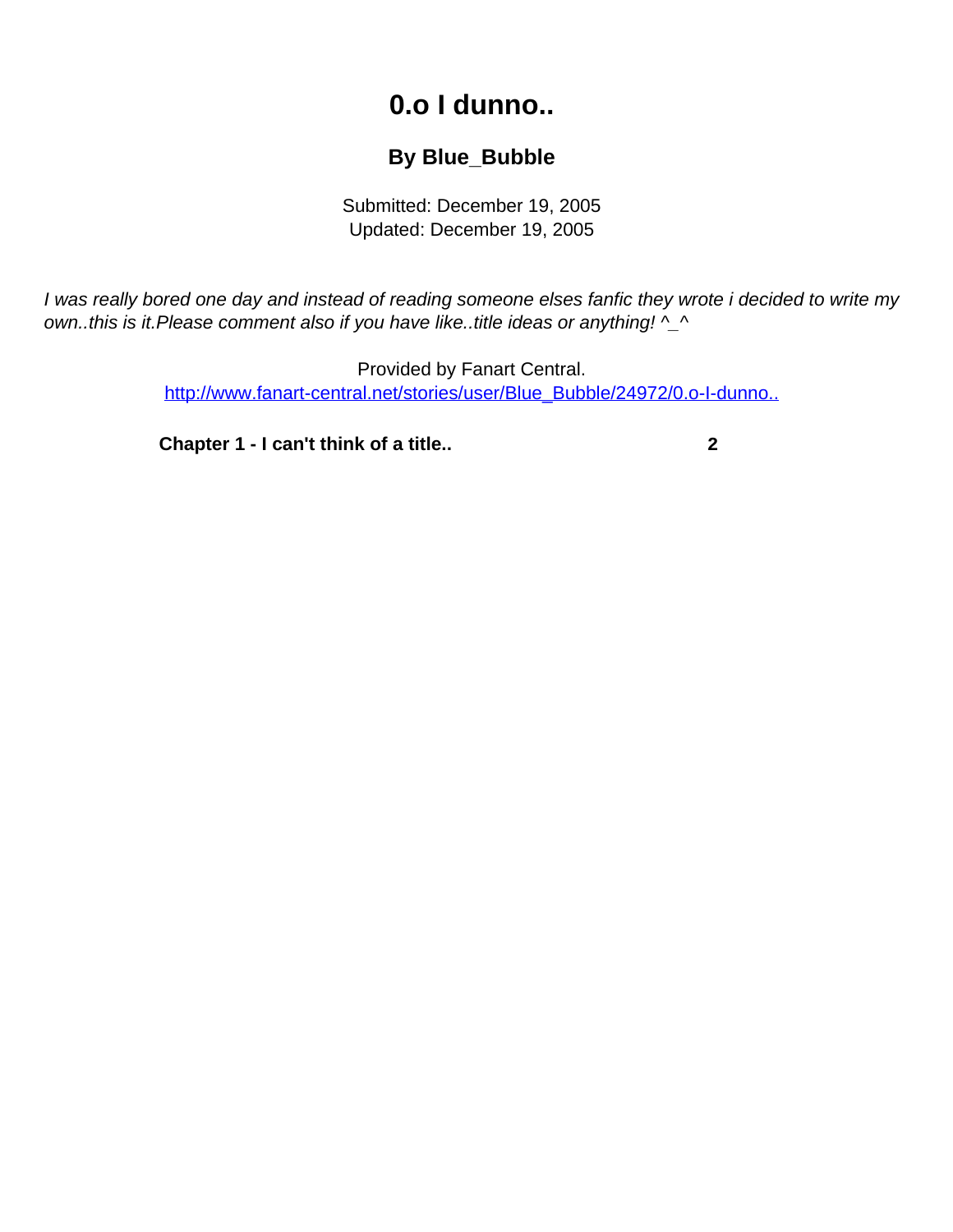## **0.o I dunno..**

## **By Blue\_Bubble**

Submitted: December 19, 2005 Updated: December 19, 2005

<span id="page-0-0"></span>I was really bored one day and instead of reading someone elses fanfic they wrote i decided to write my own..this is it. Please comment also if you have like..title ideas or anything!  $\wedge\_\wedge$ 

> Provided by Fanart Central. [http://www.fanart-central.net/stories/user/Blue\\_Bubble/24972/0.o-I-dunno..](#page-0-0)

**[Chapter 1 - I can't think of a title..](#page-1-0) [2](#page-1-0)**